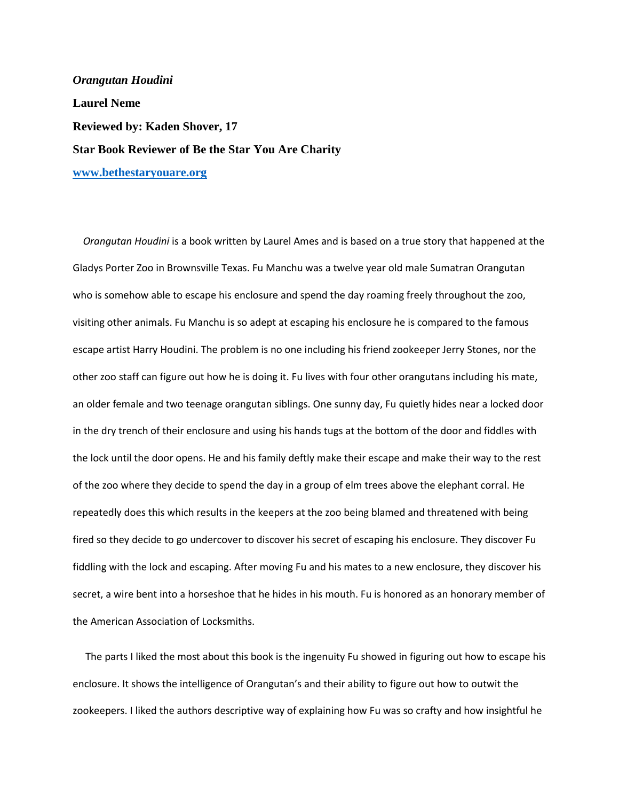*Orangutan Houdini* **Laurel Neme Reviewed by: Kaden Shover, 17 Star Book Reviewer of Be the Star You Are Charity [www.bethestaryouare.org](http://www.bethestaryouare.org/)**

 *Orangutan Houdini* is a book written by Laurel Ames and is based on a true story that happened at the Gladys Porter Zoo in Brownsville Texas. Fu Manchu was a twelve year old male Sumatran Orangutan who is somehow able to escape his enclosure and spend the day roaming freely throughout the zoo, visiting other animals. Fu Manchu is so adept at escaping his enclosure he is compared to the famous escape artist Harry Houdini. The problem is no one including his friend zookeeper Jerry Stones, nor the other zoo staff can figure out how he is doing it. Fu lives with four other orangutans including his mate, an older female and two teenage orangutan siblings. One sunny day, Fu quietly hides near a locked door in the dry trench of their enclosure and using his hands tugs at the bottom of the door and fiddles with the lock until the door opens. He and his family deftly make their escape and make their way to the rest of the zoo where they decide to spend the day in a group of elm trees above the elephant corral. He repeatedly does this which results in the keepers at the zoo being blamed and threatened with being fired so they decide to go undercover to discover his secret of escaping his enclosure. They discover Fu fiddling with the lock and escaping. After moving Fu and his mates to a new enclosure, they discover his secret, a wire bent into a horseshoe that he hides in his mouth. Fu is honored as an honorary member of the American Association of Locksmiths.

 The parts I liked the most about this book is the ingenuity Fu showed in figuring out how to escape his enclosure. It shows the intelligence of Orangutan's and their ability to figure out how to outwit the zookeepers. I liked the authors descriptive way of explaining how Fu was so crafty and how insightful he